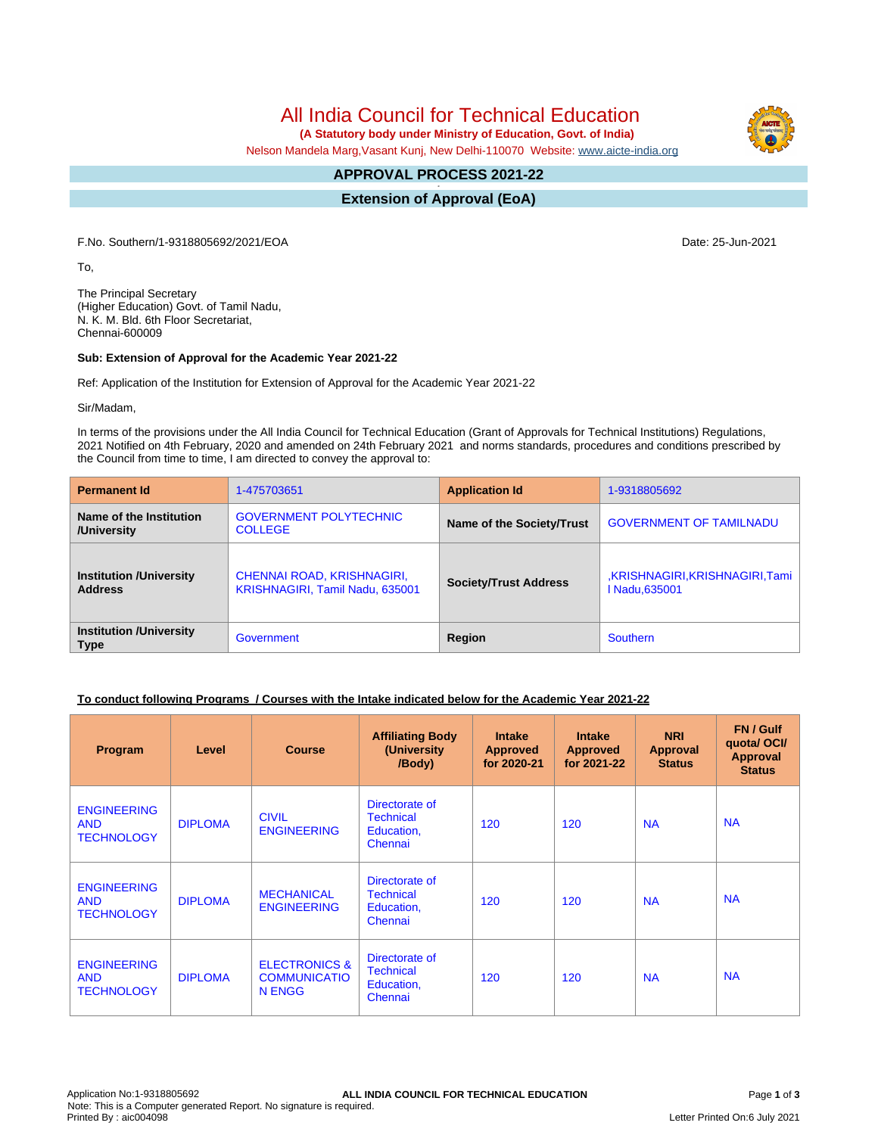All India Council for Technical Education

 **(A Statutory body under Ministry of Education, Govt. of India)**

Nelson Mandela Marg,Vasant Kunj, New Delhi-110070 Website: [www.aicte-india.org](http://www.aicte-india.org)

#### **APPROVAL PROCESS 2021-22 -**

**Extension of Approval (EoA)**

F.No. Southern/1-9318805692/2021/EOA Date: 25-Jun-2021

To,

The Principal Secretary (Higher Education) Govt. of Tamil Nadu, N. K. M. Bld. 6th Floor Secretariat, Chennai-600009

### **Sub: Extension of Approval for the Academic Year 2021-22**

Ref: Application of the Institution for Extension of Approval for the Academic Year 2021-22

Sir/Madam,

In terms of the provisions under the All India Council for Technical Education (Grant of Approvals for Technical Institutions) Regulations, 2021 Notified on 4th February, 2020 and amended on 24th February 2021 and norms standards, procedures and conditions prescribed by the Council from time to time, I am directed to convey the approval to:

| <b>Permanent Id</b>                              | 1-475703651                                                   | <b>Application Id</b>        | 1-9318805692                                   |  |
|--------------------------------------------------|---------------------------------------------------------------|------------------------------|------------------------------------------------|--|
| Name of the Institution<br>/University           | <b>GOVERNMENT POLYTECHNIC</b><br><b>COLLEGE</b>               | Name of the Society/Trust    | <b>GOVERNMENT OF TAMILNADU</b>                 |  |
| <b>Institution /University</b><br><b>Address</b> | CHENNAI ROAD, KRISHNAGIRI,<br>KRISHNAGIRI, Tamil Nadu, 635001 | <b>Society/Trust Address</b> | ,KRISHNAGIRI,KRISHNAGIRI,Tami<br>I Nadu.635001 |  |
| <b>Institution /University</b><br><b>Type</b>    | Government                                                    | Region                       | <b>Southern</b>                                |  |

# **To conduct following Programs / Courses with the Intake indicated below for the Academic Year 2021-22**

| Program                                               | Level          | <b>Course</b>                                             | <b>Affiliating Body</b><br>(University<br>/Body)            | <b>Intake</b><br><b>Approved</b><br>for 2020-21 | <b>Intake</b><br><b>Approved</b><br>for 2021-22 | <b>NRI</b><br><b>Approval</b><br><b>Status</b> | FN / Gulf<br>quotal OCI/<br><b>Approval</b><br><b>Status</b> |
|-------------------------------------------------------|----------------|-----------------------------------------------------------|-------------------------------------------------------------|-------------------------------------------------|-------------------------------------------------|------------------------------------------------|--------------------------------------------------------------|
| <b>ENGINEERING</b><br><b>AND</b><br><b>TECHNOLOGY</b> | <b>DIPLOMA</b> | <b>CIVIL</b><br><b>ENGINEERING</b>                        | Directorate of<br><b>Technical</b><br>Education,<br>Chennai | 120                                             | 120                                             | <b>NA</b>                                      | <b>NA</b>                                                    |
| <b>ENGINEERING</b><br><b>AND</b><br><b>TECHNOLOGY</b> | <b>DIPLOMA</b> | <b>MECHANICAL</b><br><b>ENGINEERING</b>                   | Directorate of<br><b>Technical</b><br>Education,<br>Chennai | 120                                             | 120                                             | <b>NA</b>                                      | <b>NA</b>                                                    |
| <b>ENGINEERING</b><br><b>AND</b><br><b>TECHNOLOGY</b> | <b>DIPLOMA</b> | <b>ELECTRONICS &amp;</b><br><b>COMMUNICATIO</b><br>N ENGG | Directorate of<br><b>Technical</b><br>Education,<br>Chennai | 120                                             | 120                                             | <b>NA</b>                                      | <b>NA</b>                                                    |

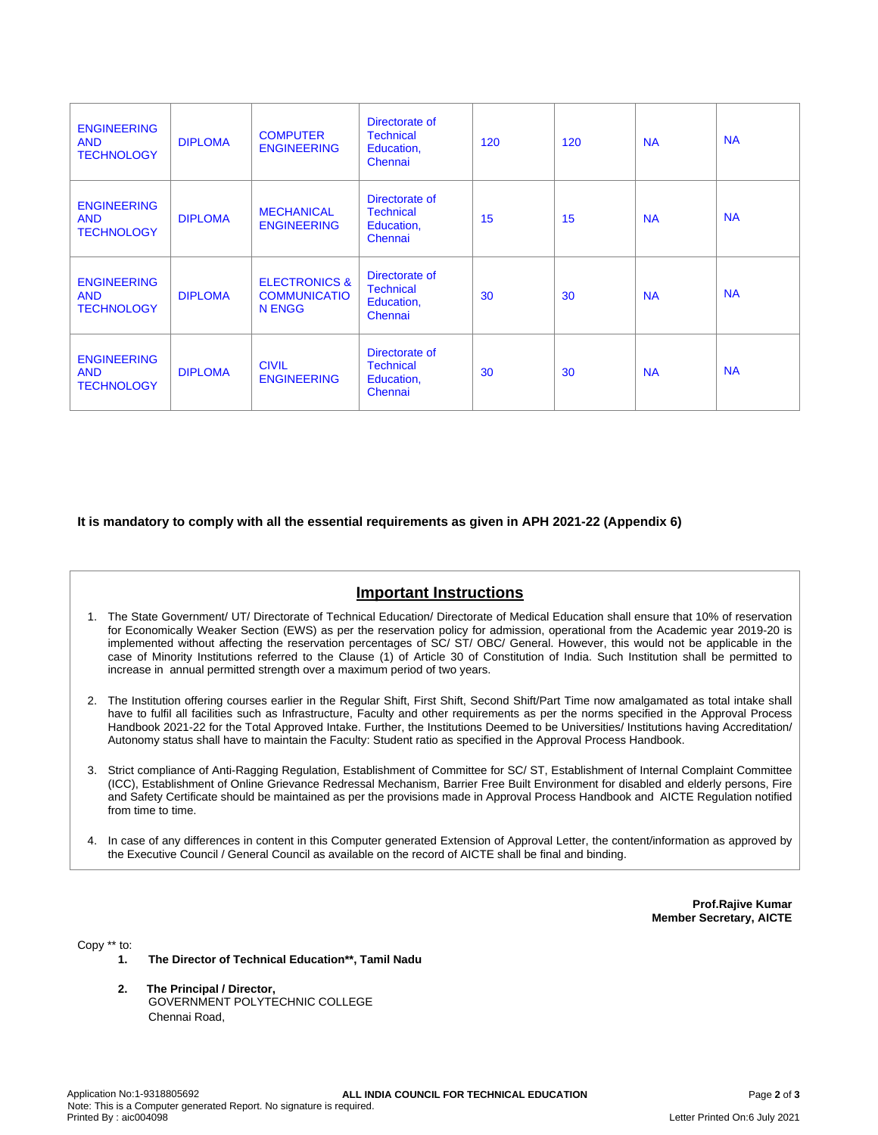| <b>ENGINEERING</b><br><b>AND</b><br><b>TECHNOLOGY</b> | <b>DIPLOMA</b> | <b>COMPUTER</b><br><b>ENGINEERING</b>                     | Directorate of<br><b>Technical</b><br>Education,<br>Chennai | 120 | 120 | <b>NA</b> | <b>NA</b> |
|-------------------------------------------------------|----------------|-----------------------------------------------------------|-------------------------------------------------------------|-----|-----|-----------|-----------|
| <b>ENGINEERING</b><br><b>AND</b><br><b>TECHNOLOGY</b> | <b>DIPLOMA</b> | <b>MECHANICAL</b><br><b>ENGINEERING</b>                   | Directorate of<br><b>Technical</b><br>Education,<br>Chennai | 15  | 15  | <b>NA</b> | <b>NA</b> |
| <b>ENGINEERING</b><br><b>AND</b><br><b>TECHNOLOGY</b> | <b>DIPLOMA</b> | <b>ELECTRONICS &amp;</b><br><b>COMMUNICATIO</b><br>N ENGG | Directorate of<br><b>Technical</b><br>Education,<br>Chennai | 30  | 30  | <b>NA</b> | <b>NA</b> |
| <b>ENGINEERING</b><br><b>AND</b><br><b>TECHNOLOGY</b> | <b>DIPLOMA</b> | <b>CIVIL</b><br><b>ENGINEERING</b>                        | Directorate of<br><b>Technical</b><br>Education,<br>Chennai | 30  | 30  | <b>NA</b> | <b>NA</b> |

**It is mandatory to comply with all the essential requirements as given in APH 2021-22 (Appendix 6)**

# **Important Instructions**

- 1. The State Government/ UT/ Directorate of Technical Education/ Directorate of Medical Education shall ensure that 10% of reservation for Economically Weaker Section (EWS) as per the reservation policy for admission, operational from the Academic year 2019-20 is implemented without affecting the reservation percentages of SC/ ST/ OBC/ General. However, this would not be applicable in the case of Minority Institutions referred to the Clause (1) of Article 30 of Constitution of India. Such Institution shall be permitted to increase in annual permitted strength over a maximum period of two years.
- 2. The Institution offering courses earlier in the Regular Shift, First Shift, Second Shift/Part Time now amalgamated as total intake shall have to fulfil all facilities such as Infrastructure, Faculty and other requirements as per the norms specified in the Approval Process Handbook 2021-22 for the Total Approved Intake. Further, the Institutions Deemed to be Universities/ Institutions having Accreditation/ Autonomy status shall have to maintain the Faculty: Student ratio as specified in the Approval Process Handbook.
- 3. Strict compliance of Anti-Ragging Regulation, Establishment of Committee for SC/ ST, Establishment of Internal Complaint Committee (ICC), Establishment of Online Grievance Redressal Mechanism, Barrier Free Built Environment for disabled and elderly persons, Fire and Safety Certificate should be maintained as per the provisions made in Approval Process Handbook and AICTE Regulation notified from time to time.
- 4. In case of any differences in content in this Computer generated Extension of Approval Letter, the content/information as approved by the Executive Council / General Council as available on the record of AICTE shall be final and binding.

**Prof.Rajive Kumar Member Secretary, AICTE**

Copy \*\* to:

- **1. The Director of Technical Education\*\*, Tamil Nadu**
- **2. The Principal / Director,** GOVERNMENT POLYTECHNIC COLLEGE Chennai Road,